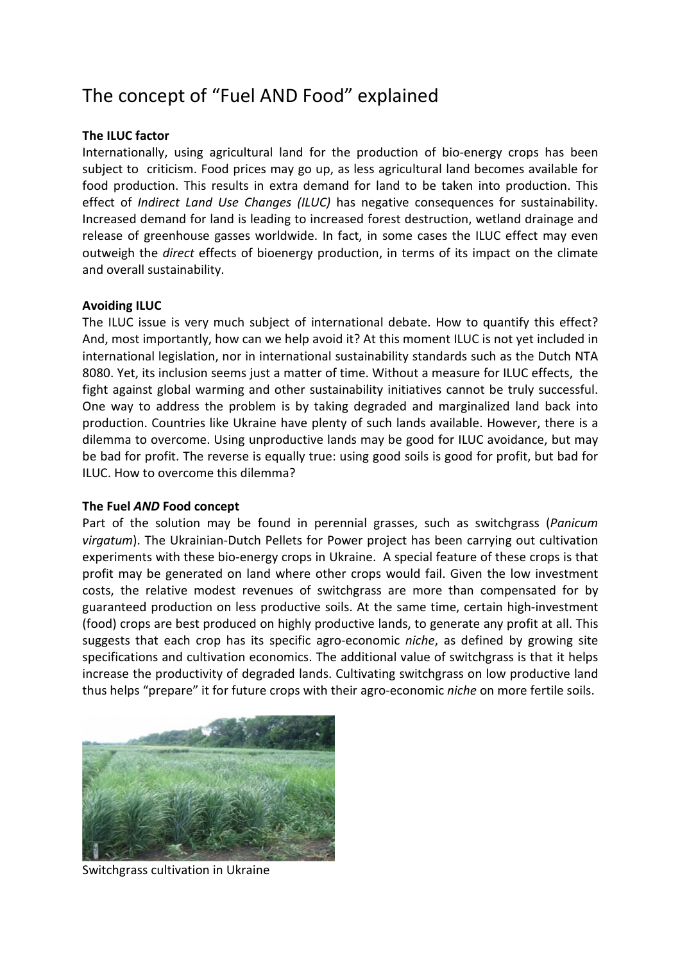# The concept of "Fuel AND Food" explained

## **The ILUC factor**

Internationally, using agricultural land for the production of bio-energy crops has been subject to criticism. Food prices may go up, as less agricultural land becomes available for food production. This results in extra demand for land to be taken into production. This effect of *Indirect Land Use Changes (ILUC)* has negative consequences for sustainability. Increased demand for land is leading to increased forest destruction, wetland drainage and release of greenhouse gasses worldwide. In fact, in some cases the ILUC effect may even outweigh the *direct* effects of bioenergy production, in terms of its impact on the climate and overall sustainability.

## **Avoiding ILUC**

The ILUC issue is very much subject of international debate. How to quantify this effect? And, most importantly, how can we help avoid it? At this moment ILUC is not yet included in international legislation, nor in international sustainability standards such as the Dutch NTA 8080. Yet, its inclusion seems just a matter of time. Without a measure for ILUC effects, the fight against global warming and other sustainability initiatives cannot be truly successful. One way to address the problem is by taking degraded and marginalized land back into production. Countries like Ukraine have plenty of such lands available. However, there is a dilemma to overcome. Using unproductive lands may be good for ILUC avoidance, but may be bad for profit. The reverse is equally true: using good soils is good for profit, but bad for ILUC. How to overcome this dilemma?

### **The Fuel** *AND* **Food concept**

Part of the solution may be found in perennial grasses, such as switchgrass (*Panicum virgatum*). The Ukrainian-Dutch Pellets for Power project has been carrying out cultivation experiments with these bio-energy crops in Ukraine. A special feature of these crops is that profit may be generated on land where other crops would fail. Given the low investment costs, the relative modest revenues of switchgrass are more than compensated for by guaranteed production on less productive soils. At the same time, certain high-investment (food) crops are best produced on highly productive lands, to generate any profit at all. This suggests that each crop has its specific agro-economic *niche*, as defined by growing site specifications and cultivation economics. The additional value of switchgrass is that it helps increase the productivity of degraded lands. Cultivating switchgrass on low productive land thus helps "prepare" it for future crops with their agro-economic *niche* on more fertile soils.



Switchgrass cultivation in Ukraine